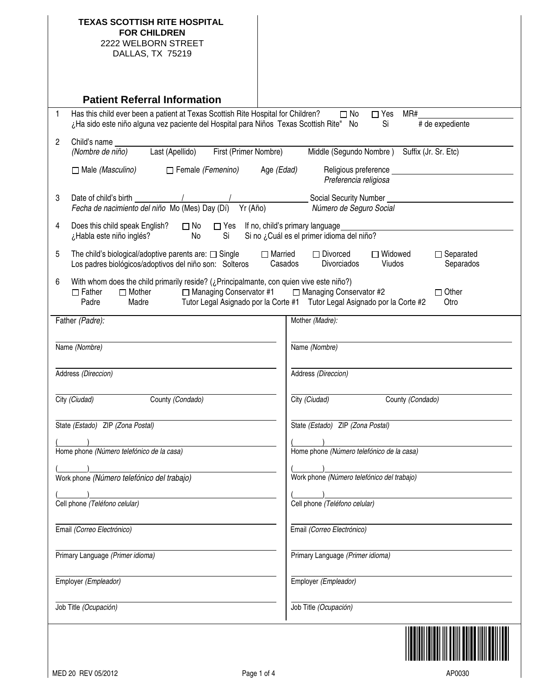| <b>TEXAS SCOTTISH RITE HOSPITAL</b><br><b>FOR CHILDREN</b><br>2222 WELBORN STREET<br>DALLAS, TX 75219                                                                         |                                                                                                                                 |
|-------------------------------------------------------------------------------------------------------------------------------------------------------------------------------|---------------------------------------------------------------------------------------------------------------------------------|
| <b>Patient Referral Information</b>                                                                                                                                           |                                                                                                                                 |
| Has this child ever been a patient at Texas Scottish Rite Hospital for Children?<br>1<br>¿Ha sido este niño alguna vez paciente del Hospital para Niños Texas Scottish Rite"  | $\square$ No<br>$\Box$ Yes<br>MR#<br># de expediente<br>Si<br>No                                                                |
| 2<br>Child's name<br>Last (Apellido)<br>First (Primer Nombre)<br>(Nombre de niño)                                                                                             | Middle (Segundo Nombre) Suffix (Jr. Sr. Etc)                                                                                    |
| $\Box$ Male (Masculino)<br>Female (Femenino)                                                                                                                                  | Age (Edad)<br>Religious preference<br>Preferencia religiosa                                                                     |
| Date of child's birth<br>3<br>Fecha de nacimiento del niño Mo (Mes) Day (Dí)<br>Yr (Año)                                                                                      | Social Security Number<br>Número de Seguro Social                                                                               |
| Does this child speak English?<br>$\Box$ No<br>4<br>No<br>¿Habla este niño inglés?<br>Si                                                                                      | $\Box$ Yes If no, child's primary language<br>Si no ¿Cuál es el primer idioma del niño?                                         |
| 5<br>The child's biological/adoptive parents are: $\square$ Single<br>Los padres biológicos/adoptivos del niño son: Solteros                                                  | $\Box$ Married<br>$\Box$ Divorced<br>$\Box$ Separated<br>$\Box$ Widowed<br>Casados<br>Viudos<br>Separados<br><b>Divorciados</b> |
| With whom does the child primarily reside? (¿Principalmante, con quien vive este niño?)<br>6<br>$\Box$ Mother<br>□ Managing Conservator #1<br>$\Box$ Father<br>Padre<br>Madre | □ Managing Conservator #2<br>$\Box$ Other<br>Tutor Legal Asignado por la Corte #1 Tutor Legal Asignado por la Corte #2<br>Otro  |
| Father (Padre):                                                                                                                                                               | Mother (Madre):                                                                                                                 |
| Name (Nombre)                                                                                                                                                                 | Name (Nombre)                                                                                                                   |
| Address (Direccion)                                                                                                                                                           | Address (Direccion)                                                                                                             |
| City (Ciudad)<br>County (Condado)                                                                                                                                             | City (Ciudad)<br>County (Condado)                                                                                               |
| State (Estado) ZIP (Zona Postal)                                                                                                                                              | State (Estado) ZIP (Zona Postal)                                                                                                |
| Home phone (Número telefónico de la casa)                                                                                                                                     | Home phone (Número telefónico de la casa)                                                                                       |
| Work phone (Número telefónico del trabajo)                                                                                                                                    | Work phone (Número telefónico del trabajo)                                                                                      |
|                                                                                                                                                                               |                                                                                                                                 |
| Cell phone (Teléfono celular)                                                                                                                                                 | Cell phone (Teléfono celular)                                                                                                   |
| Email (Correo Electrónico)                                                                                                                                                    | Email (Correo Electrónico)                                                                                                      |
| Primary Language (Primer idioma)                                                                                                                                              | Primary Language (Primer idioma)                                                                                                |
| Employer (Empleador)                                                                                                                                                          | Employer (Empleador)                                                                                                            |
| Job Title (Ocupación)                                                                                                                                                         | Job Title (Ocupación)                                                                                                           |
|                                                                                                                                                                               |                                                                                                                                 |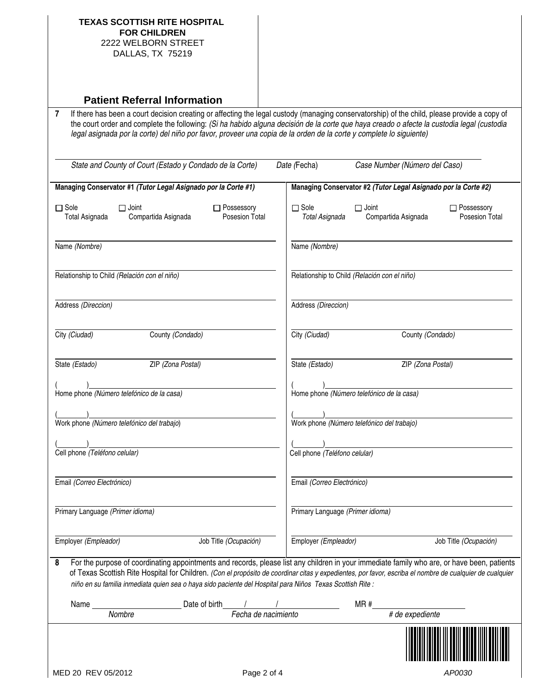| <b>TEXAS SCOTTISH RITE HOSPITAL</b><br><b>FOR CHILDREN</b><br>2222 WELBORN STREET                                                                                                                                                                                                                                                                                                                                         |                                |                     |                                                                |              |                               |                                |
|---------------------------------------------------------------------------------------------------------------------------------------------------------------------------------------------------------------------------------------------------------------------------------------------------------------------------------------------------------------------------------------------------------------------------|--------------------------------|---------------------|----------------------------------------------------------------|--------------|-------------------------------|--------------------------------|
| DALLAS, TX 75219                                                                                                                                                                                                                                                                                                                                                                                                          |                                |                     |                                                                |              |                               |                                |
| <b>Patient Referral Information</b>                                                                                                                                                                                                                                                                                                                                                                                       |                                |                     |                                                                |              |                               |                                |
| If there has been a court decision creating or affecting the legal custody (managing conservatorship) of the child, please provide a copy of<br>7<br>the court order and complete the following: (Si ha habido alguna decisión de la corte que haya creado o afecte la custodia legal (custodia<br>legal asignada por la corte) del niño por favor, proveer una copia de la orden de la corte y complete lo siguiente)    |                                |                     |                                                                |              |                               |                                |
| State and County of Court (Estado y Condado de la Corte)                                                                                                                                                                                                                                                                                                                                                                  |                                |                     | Date (Fecha)                                                   |              | Case Number (Número del Caso) |                                |
| Managing Conservator #1 (Tutor Legal Asignado por la Corte #1)                                                                                                                                                                                                                                                                                                                                                            |                                |                     | Managing Conservator #2 (Tutor Legal Asignado por la Corte #2) |              |                               |                                |
| $\Box$ Sole<br>$\Box$ Joint<br>Compartida Asignada<br><b>Total Asignada</b>                                                                                                                                                                                                                                                                                                                                               | □ Possessory<br>Posesion Total |                     | $\Box$ Sole<br>Total Asignada                                  | $\Box$ Joint | Compartida Asignada           | □ Possessory<br>Posesion Total |
| Name (Nombre)                                                                                                                                                                                                                                                                                                                                                                                                             |                                |                     | Name (Nombre)                                                  |              |                               |                                |
| Relationship to Child (Relación con el niño)                                                                                                                                                                                                                                                                                                                                                                              |                                |                     | Relationship to Child (Relación con el niño)                   |              |                               |                                |
| Address (Direccion)                                                                                                                                                                                                                                                                                                                                                                                                       |                                |                     | Address (Direccion)                                            |              |                               |                                |
| City (Ciudad)                                                                                                                                                                                                                                                                                                                                                                                                             | County (Condado)               |                     | City (Ciudad)                                                  |              | County (Condado)              |                                |
| State (Estado)                                                                                                                                                                                                                                                                                                                                                                                                            | ZIP (Zona Postal)              |                     | State (Estado)                                                 |              | ZIP (Zona Postal)             |                                |
| Home phone (Número telefónico de la casa)                                                                                                                                                                                                                                                                                                                                                                                 |                                |                     | Home phone (Número telefónico de la casa)                      |              |                               |                                |
| Work phone (Número telefónico del trabajo)                                                                                                                                                                                                                                                                                                                                                                                |                                |                     | Vork phone (Número telefónico del trabajo)                     |              |                               |                                |
| Cell phone (Teléfono celular)                                                                                                                                                                                                                                                                                                                                                                                             |                                |                     | Cell phone (Teléfono celular)                                  |              |                               |                                |
| Email (Correo Electrónico)                                                                                                                                                                                                                                                                                                                                                                                                |                                |                     | Email (Correo Electrónico)                                     |              |                               |                                |
| Primary Language (Primer idioma)                                                                                                                                                                                                                                                                                                                                                                                          |                                |                     | Primary Language (Primer idioma)                               |              |                               |                                |
| Employer (Empleador)                                                                                                                                                                                                                                                                                                                                                                                                      | Job Title (Ocupación)          |                     | Employer (Empleador)                                           |              |                               | Job Title (Ocupación)          |
| For the purpose of coordinating appointments and records, please list any children in your immediate family who are, or have been, patients<br>8<br>of Texas Scottish Rite Hospital for Children. (Con el propósito de coordinar citas y expedientes, por favor, escriba el nombre de cualquier de cualquier<br>niño en su familia inmediata quien sea o haya sido paciente del Hospital para Niños Texas Scottish Rite : |                                |                     |                                                                |              |                               |                                |
| Name                                                                                                                                                                                                                                                                                                                                                                                                                      | Date of birth                  |                     |                                                                | MR#          |                               |                                |
| Nombre                                                                                                                                                                                                                                                                                                                                                                                                                    |                                | Fecha de nacimiento |                                                                |              | # de expediente               |                                |
|                                                                                                                                                                                                                                                                                                                                                                                                                           |                                |                     |                                                                |              |                               |                                |
| MED 20 REV 05/2012                                                                                                                                                                                                                                                                                                                                                                                                        |                                | Page 2 of 4         |                                                                |              |                               | AP0030                         |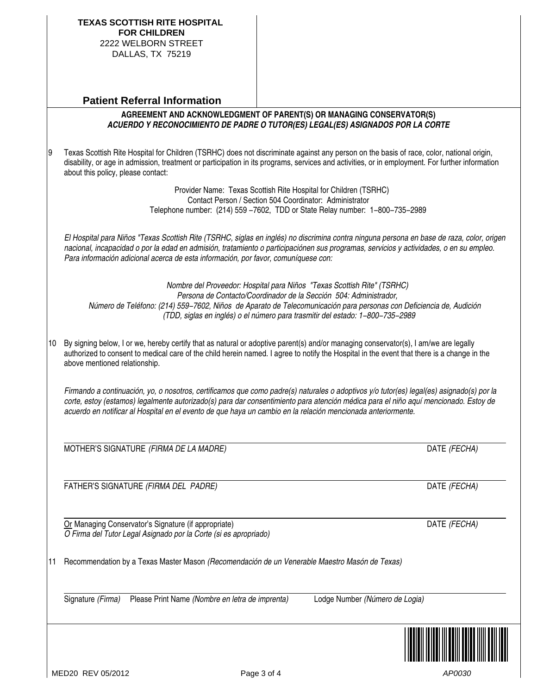| Page 3 of 4 | AP0030 |
|-------------|--------|

Telephone number: (214) 559 −7602, TDD or State Relay number: 1−800−735−2989

El Hospital para Niños "Texas Scottish Rite (TSRHC, siglas en inglés) no discrimina contra ninguna persona en base de raza, color, origen nacional, incapacidad o por la edad en admisión, tratamiento o participaciónen sus programas, servicios y actividades, o en su empleo. Para información adicional acerca de esta información, por favor, comuníquese con:

Provider Name: Texas Scottish Rite Hospital for Children (TSRHC) Contact Person / Section 504 Coordinator: Administrator

**AGREEMENT AND ACKNOWLEDGMENT OF PARENT(S) OR MANAGING CONSERVATOR(S) ACUERDO Y RECONOCIMIENTO DE PADRE O TUTOR(ES) LEGAL(ES) ASIGNADOS POR LA CORTE**

9 Texas Scottish Rite Hospital for Children (TSRHC) does not discriminate against any person on the basis of race, color, national origin, disability, or age in admission, treatment or participation in its programs, services and activities, or in employment. For further information

Nombre del Proveedor: Hospital para Niños "Texas Scottish Rite" (TSRHC) Persona de Contacto/Coordinador de la Sección 504: Administrador, Número de Teléfono: (214) 559−7602, Niños de Aparato de Telecomunicación para personas con Deficiencia de, Audición (TDD, siglas en inglés) o el número para trasmitir del estado: 1−800−735−2989

10 By signing below, I or we, hereby certify that as natural or adoptive parent(s) and/or managing conservator(s), I am/we are legally authorized to consent to medical care of the child herein named. I agree to notify the Hospital in the event that there is a change in the above mentioned relationship.

Firmando a continuación, yo, o nosotros, certificamos que como padre(s) naturales o adoptivos y/o tutor(es) legal(es) asignado(s) por la corte, estoy (estamos) legalmente autorizado(s) para dar consentimiento para atención médica para el niño aquí mencionado. Estoy de acuerdo en notificar al Hospital en el evento de que haya un cambio en la relación mencionada anteriormente.

MOTHER'S SIGNATURE *(FIRMA DE LA MADRE)* DATE (FECHA)

FATHER'S SIGNATURE (FIRMA DEL PADRE) DATE (FECHA)

Or Managing Conservator's Signature (if appropriate) DATE (FECHA) O Firma del Tutor Legal Asignado por la Corte (si es apropriado)

11 Recommendation by a Texas Master Mason (Recomendación de un Venerable Maestro Masón de Texas)

Signature (Firma) Please Print Name (Nombre en letra de imprenta) Lodge Number (Número de Logia)



**TEXAS SCOTTISH RITE HOSPITAL FOR CHILDREN** 2222 WELBORN STREET DALLAS, TX 75219

about this policy, please contact: